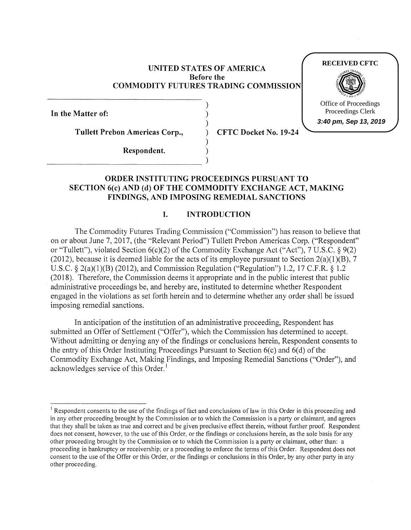### **UNITED STATES OF AMERICA Before the COMMODITY FUTURES TRADING COMMISSION**

) ) )

)

**In the Matter of:** 

**Tullett Prebon Americas Corp.,** ) **CFTC Docket No. 19-24** 

### **RECEIVED CFTC**



Office of Proceedings Proceedings Clerk

**3:40 pm, Sep 13, 2019**

**Respondent.** ) \_\_\_\_\_\_\_\_\_\_\_\_\_\_\_\_ )

# **ORDER INSTITUTING PROCEEDINGS PURSUANT TO SECTION 6(c) AND (d) OF THE COMMODITY EXCHANGE ACT, MAKING FINDINGS, AND IMPOSING REMEDIAL SANCTIONS**

# **I. INTRODUCTION**

The Commodity Futures Trading Commission ("Commission") has reason to believe that on or about June 7, 2017, (the "Relevant Period") Tullett Prebon Americas Corp. ("Respondent" or "Tullett"), violated Section 6(c)(2) of the Commodity Exchange Act ("Act"), 7 U.S.C. § 9(2) (2012), because it is deemed liable for the acts of its employee pursuant to Section  $2(a)(1)(B)$ , 7 U.S.C. § 2(a)(l)(B) (2012), and Commission Regulation ("Regulation") 1.2, 17 C.F.R. § 1.2 (2018). Therefore, the Commission deems it appropriate and in the public interest that public administrative proceedings be, and hereby are, instituted to determine whether Respondent engaged in the violations as set forth herein and to determine whether any order shall be issued imposing remedial sanctions.

In anticipation of the institution of an administrative proceeding, Respondent has submitted an Offer of Settlement ("Offer"), which the Commission has determined to accept. Without admitting or denying any of the findings or conclusions herein, Respondent consents to the entry of this Order Instituting Proceedings Pursuant to Section  $6(c)$  and  $6(d)$  of the Commodity Exchange Act, Making Findings, and Imposing Remedial Sanctions ("Order"), and acknowledges service of this Order.<sup>1</sup>

<sup>&</sup>lt;sup>1</sup> Respondent consents to the use of the findings of fact and conclusions of law in this Order in this proceeding and in any other proceeding brought by the Commission or to which the Commission is a party or claimant, and agrees that they shall be taken as true and correct and be given preclusive effect therein, without further proof. Respondent does not consent, however, to the use of this Order, or the findings or conclusions herein, as the sole basis for any other proceeding brought by the Commission or to which the Commission is a party or claimant, other than: a proceeding in bankruptcy or receivership; or a proceeding to enforce the terms of this Order. Respondent does not consent to the use of the Offer or this Order, or the findings or conclusions in this Order, by any other party in any other proceeding.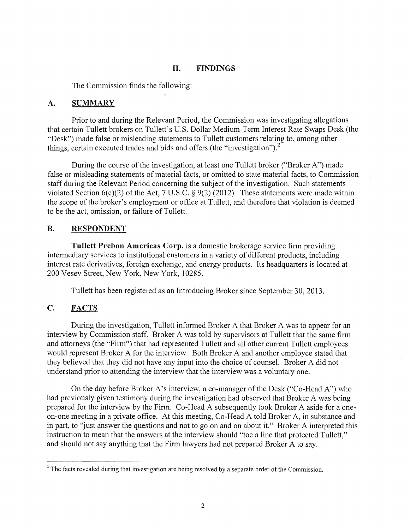### **II. FINDINGS**

The Commission finds the following:

#### **A. SUMMARY**

Prior to and during the Relevant Period, the Commission was investigating allegations that certain Tullett brokers on Tullett's U.S. Dollar Medium-Term Interest Rate Swaps Desk (the "Desk") made false or misleading statements to Tullett customers relating to, among other things, certain executed trades and bids and offers (the "investigation").<sup>2</sup>

During the course of the investigation, at least one Tullett broker ("Broker A") made false or misleading statements of material facts, or omitted to state material facts, to Commission staff during the Relevant Period concerning the subject of the investigation. Such statements violated Section 6(c)(2) of the Act, 7 U.S.C. § 9(2) (2012). These statements were made within the scope of the broker's employment or office at Tullett, and therefore that violation is deemed to be the act, omission, or failure of Tullett.

### **B. RESPONDENT**

**Tullett Prebon Americas Corp.** is a domestic brokerage service firm providing intermediary services to institutional customers in a variety of different products, including interest rate derivatives, foreign exchange, and energy products. Its headquarters is located at 200 Vesey Street, New York, New York, 10285.

Tullett has been registered as an Introducing Broker since September 30, 2013.

# **C. FACTS**

During the investigation, Tullett informed Broker A that Broker A was to appear for an interview by Commission staff. Broker A was told by supervisors at Tullett that the same firm and attorneys (the "Firm") that had represented Tullett and all other current Tullett employees would represent Broker A for the interview. Both Broker A and another employee stated that they believed that they did not have any input into the choice of counsel. Broker A did not understand prior to attending the interview that the interview was a voluntary one.

On the day before Broker A's interview, a co-manager of the Desk ("Co-Head A") who had previously given testimony during the investigation had observed that Broker A was being prepared for the interview by the Firm. Co-Head A subsequently took Broker A aside for a oneon-one meeting in a private office. At this meeting, Co-Head A told Broker A, in substance and in part, to "just answer the questions and not to go on and on about it." Broker A interpreted this instruction to mean that the answers at the interview should "toe a line that protected Tullett," and should not say anything that the Firm lawyers had not prepared Broker A to say.

<sup>&</sup>lt;sup>2</sup> The facts revealed during that investigation are being resolved by a separate order of the Commission.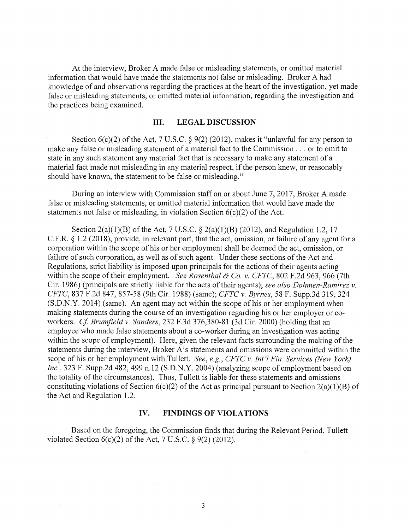At the interview, Broker A made false or misleading statements, or omitted material information that would have made the statements not false or misleading. Broker A had knowledge of and observations regarding the practices at the heart of the investigation, yet made false or misleading statements, or omitted material information, regarding the investigation and the practices being examined.

### **III. LEGAL DISCUSSION**

Section  $6(c)(2)$  of the Act, 7 U.S.C. § 9(2) (2012), makes it "unlawful for any person to make any false or misleading statement of a material fact to the Commission ... or to omit to state in any such statement any material fact that is necessary to make any statement of a material fact made not misleading in any material respect, if the person knew, or reasonably should have known, the statement to be false or misleading."

During an interview with Commission staff on or about June 7, 2017, Broker A made false or misleading statements, or omitted material information that would have made the statements not false or misleading, in violation Section  $6(c)(2)$  of the Act.

Section 2(a)(1)(B) of the Act, 7 U.S.C.  $\S$  2(a)(1)(B) (2012), and Regulation 1.2, 17 C.F .R. § 1.2 (2018), provide, in relevant part, that the act, omission, or failure of any agent for a corporation within the scope of his or her employment shall be deemed the act, omission, or failure of such corporation, as well as of such agent. Under these sections of the Act and Regulations, strict liability is imposed upon principals for the actions of their agents acting within the scope of their employment. *See Rosenthal & Co. v. CFTC,* 802 F.2d 963, 966 (7th Cir. 1986) (principals are strictly liable for the acts of their agents); *see also Dahmen-Ramirez v. CFTC,* 837 F.2d 847, 857-58 (9th Cir. 1988) (same); *CFTC v. Byrnes,* 58 F. Supp.3d 319,324 (S.D.N.Y. 2014) (same). An agent may act within the scope of his or her employment when making statements during the course of an investigation regarding his or her employer or coworkers. *Cf Brumfield v. Sanders,* 232 F.3d 376,380-81 (3d Cir. 2000) (holding that an employee who made false statements about a co-worker during an investigation was acting within the scope of employment). Here, given the relevant facts surrounding the making of the statements during the interview, Broker A's statements and omissions were committed within the scope of his or her employment with Tullett. *See, e.g., CFTC v. Int'! Fin. Services (New York) Inc.,* 323 F. Supp.2d 482, 499 n.12 (S.D.N.Y. 2004) (analyzing scope of employment based on the totality of the circumstances). Thus, Tullett is liable for these statements and omissions constituting violations of Section  $6(c)(2)$  of the Act as principal pursuant to Section  $2(a)(1)(B)$  of the Act and Regulation 1.2.

#### **IV. FINDINGS OF VIOLATIONS**

Based on the foregoing, the Commission finds that during the Relevant Period, Tullett violated Section  $6(c)(2)$  of the Act, 7 U.S.C. § 9(2) (2012).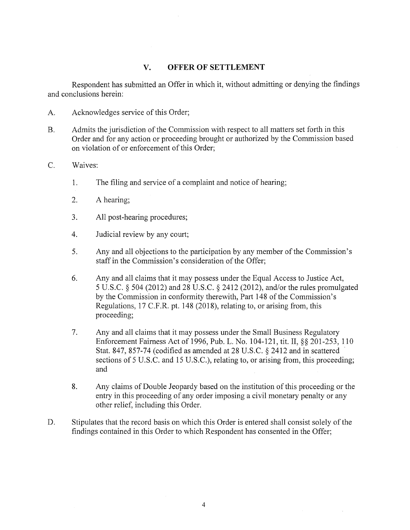## **V. OFFER OF SETTLEMENT**

Respondent has submitted an Offer in which it, without admitting or denying the findings and conclusions herein:

- A. Acknowledges service of this Order;
- B. Admits the jurisdiction of the Commission with respect to all matters set forth in this Order and for any action or proceeding brought or authorized by the Commission based on violation of or enforcement of this Order;
- C. Waives:
	- 1. The filing and service of a complaint and notice of hearing;
	- 2. A hearing;
	- 3. All post-hearing procedures;
	- 4. Judicial review by any court;
	- 5. Any and all objections to the participation by any member of the Commission's staff in the Commission's consideration of the Offer;
	- 6. Any and all claims that it may possess under the Equal Access to Justice Act, 5 U.S.C. § 504 (2012) and 28 U.S.C. § 2412 (2012), and/or the rules promulgated by the Commission in conformity therewith, Part 148 of the Commission's Regulations, 17 C.F.R. pt. 148 (2018), relating to, or arising from, this proceeding;
	- 7. Any and all claims that it may possess under the Small Business Regulatory Enforcement Fairness Act of 1996, Pub. L. No. 104-121, tit. II,§§ 201-253, 110 Stat. 847, 857-74 (codified as amended at 28 U.S.C. § 2412 and in scattered sections of 5 U.S.C. and 15 U.S.C.), relating to, or arising from, this proceeding; and
	- 8. Any claims of Double Jeopardy based on the institution of this proceeding or the entry in this proceeding of any order imposing a civil monetary penalty or any other relief, including this Order.
- D. Stipulates that the record basis on which this Order is entered shall consist solely of the findings contained in this Order to which Respondent has consented in the Offer;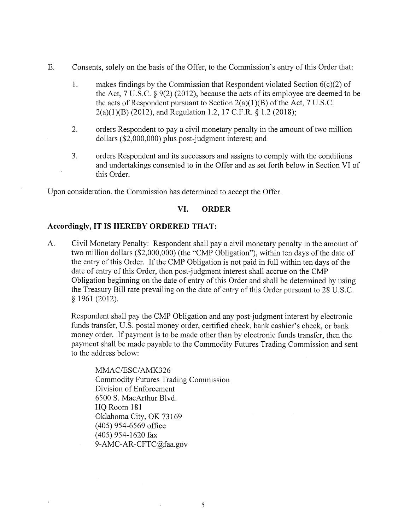- E. Consents, solely on the basis of the Offer, to the Commission's entry of this Order that:
	- 1. makes findings by the Commission that Respondent violated Section  $6(c)(2)$  of the Act, 7 U.S.C. § 9(2) (2012), because the acts of its employee are deemed to be the acts of Respondent pursuant to Section  $2(a)(1)(B)$  of the Act, 7 U.S.C. 2(a)(l)(B) (2012), and Regulation 1.2, 17 C.F.R. § 1.2 (2018);
	- 2. orders Respondent to pay a civil monetary penalty in the amount of two million dollars (\$2,000,000) plus post-judgment interest; and
	- 3. orders Respondent and its successors and assigns to comply with the conditions and undertakings consented to in the Offer and as set forth below in Section VI of this Order.

Upon consideration, the Commission has determined to accept the Offer.

## **VI. ORDER**

### **Accordingly, IT IS HEREBY ORDERED THAT:**

A. Civil Monetary Penalty: Respondent shall pay a civil monetary penalty in the amount of two million dollars (\$2,000,000) (the "CMP Obligation"), within ten days of the date of the entry of this Order. If the CMP Obligation is not paid in full within ten days of the date of entry of this Order, then post-judgment interest shall accrue on the CMP Obligation beginning on the date of entry of this Order and shall be determined by using the Treasury Bill rate prevailing on the date of entry of this Order pursuant to 28 U.S.C. § 1961 (2012).

Respondent shall pay the CMP Obligation and any post-judgment interest by electronic funds transfer, U.S. postal money order, certified check, bank cashier's check, or bank money order. If payment is to be made other than by electronic funds transfer, then the payment shall be made payable to the Commodity Futures Trading Commission and sent to the address below:

MMAC/ESC/AMK326 Commodity Futures Trading Commission Division of Enforcement 6500 S. MacArthur Blvd. HQ Room 181 Oklahoma City, OK 73169 (405) 954-6569 office (405) 954-1620 fax 9-AMC-AR-CFTC@faa.gov

 $\bar{\mathrm{t}}$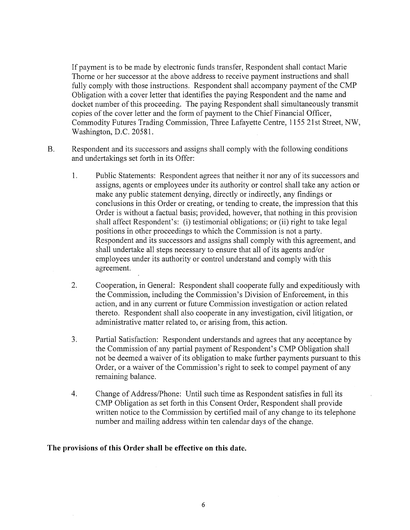If payment is to be made by electronic funds transfer, Respondent shall contact Marie Thorne or her successor at the above address to receive payment instructions and shall fully comply with those instructions. Respondent shall accompany payment of the CMP Obligation with a cover letter that identifies the paying Respondent and the name and docket number of this proceeding. The paying Respondent shall simultaneously transmit copies of the cover letter and the form of payment to the Chief Financial Officer, Commodity Futures Trading Commission, Three Lafayette Centre, 1155 21st Street, NW, Washington, D.C. 20581.

- B. Respondent and its successors and assigns shall comply with the following conditions and undertakings set forth in its Offer:
	- 1. Public Statements: Respondent agrees that neither it nor any of its successors and assigns, agents or employees under its authority or control shall take any action or make any public statement denying, directly or indirectly, any findings or conclusions in this Order or creating, or tending to create, the impression that this Order is without a factual basis; provided, however, that nothing in this provision shall affect Respondent's: (i) testimonial obligations; or (ii) right to take legal positions in other proceedings to which the Commission is not a party. Respondent and its successors and assigns shall comply with this agreement, and shall undertake all steps necessary to ensure that all of its agents and/or employees under its authority or control understand and comply with this agreement.
	- 2. Cooperation, in General: Respondent shall cooperate fully and expeditiously with the Commission, including the Commission's Division of Enforcement, in this action, and in any current or future Commission investigation or action related thereto. Respondent shall also cooperate in any investigation, civil litigation, or administrative matter related to, or arising from, this action.
	- 3. Partial Satisfaction: Respondent understands and agrees that any acceptance by the Commission of any partial payment of Respondent's CMP Obligation shall not be deemed a waiver of its obligation to make further payments pursuant to this Order, or a waiver of the Commission's right to seek to compel payment of any remaining balance.
	- 4. Change of Address/Phone: Until such time as Respondent satisfies in full its CMP Obligation as set forth in this Consent Order, Respondent shall provide written notice to the Commission by certified mail of any change to its telephone number and mailing address within ten calendar days of the change.

### **The provisions of this Order shall be effective on this date.**